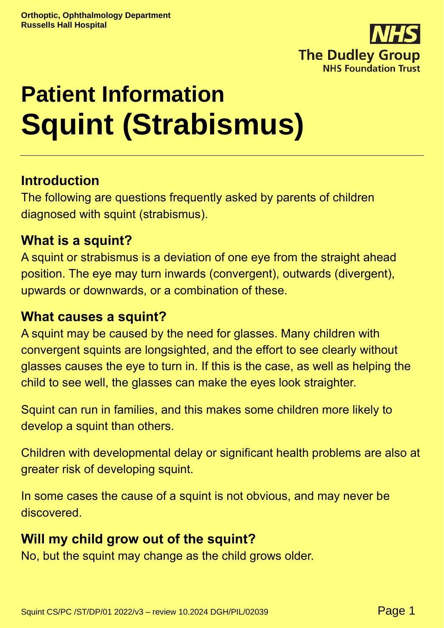

# **Patient Information Squint (Strabismus)**

# **Introduction**

The following are questions frequently asked by parents of children diagnosed with squint (strabismus).

#### **What is a squint?**

A squint or strabismus is a deviation of one eye from the straight ahead position. The eye may turn inwards (convergent), outwards (divergent), upwards or downwards, or a combination of these.

#### **What causes a squint?**

A squint may be caused by the need for glasses. Many children with convergent squints are longsighted, and the effort to see clearly without glasses causes the eye to turn in. If this is the case, as well as helping the child to see well, the glasses can make the eyes look straighter.

Squint can run in families, and this makes some children more likely to develop a squint than others.

Children with developmental delay or significant health problems are also at greater risk of developing squint.

In some cases the cause of a squint is not obvious, and may never be discovered.

# **Will my child grow out of the squint?**

No, but the squint may change as the child grows older.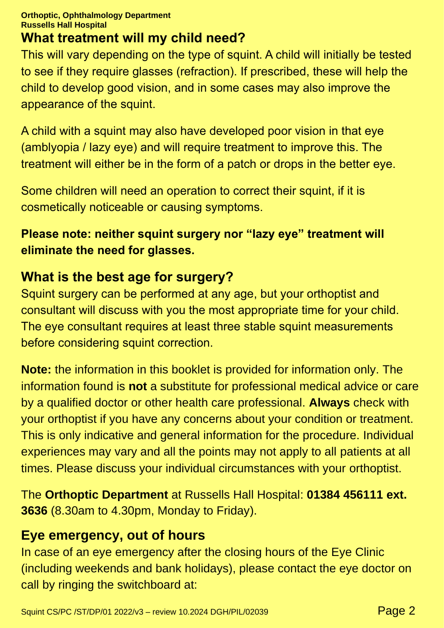#### **Orthoptic, Ophthalmology Department Russells Hall Hospital**

## **What treatment will my child need?**

This will vary depending on the type of squint. A child will initially be tested to see if they require glasses (refraction). If prescribed, these will help the child to develop good vision, and in some cases may also improve the appearance of the squint.

A child with a squint may also have developed poor vision in that eye (amblyopia / lazy eye) and will require treatment to improve this. The treatment will either be in the form of a patch or drops in the better eye.

Some children will need an operation to correct their squint, if it is cosmetically noticeable or causing symptoms.

### **Please note: neither squint surgery nor "lazy eye" treatment will eliminate the need for glasses.**

# **What is the best age for surgery?**

Squint surgery can be performed at any age, but your orthoptist and consultant will discuss with you the most appropriate time for your child. The eye consultant requires at least three stable squint measurements before considering squint correction.

**Note:** the information in this booklet is provided for information only. The information found is **not** a substitute for professional medical advice or care by a qualified doctor or other health care professional. **Always** check with your orthoptist if you have any concerns about your condition or treatment. This is only indicative and general information for the procedure. Individual experiences may vary and all the points may not apply to all patients at all times. Please discuss your individual circumstances with your orthoptist.

The **Orthoptic Department** at Russells Hall Hospital: **01384 456111 ext. 3636** (8.30am to 4.30pm, Monday to Friday).

### **Eye emergency, out of hours**

In case of an eye emergency after the closing hours of the Eye Clinic (including weekends and bank holidays), please contact the eye doctor on call by ringing the switchboard at: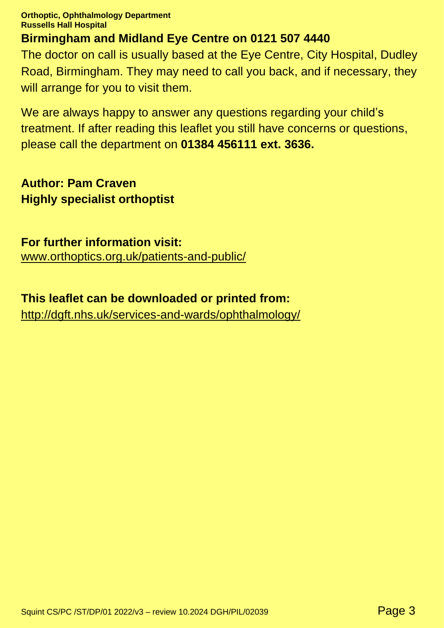**Orthoptic, Ophthalmology Department Russells Hall Hospital**

#### **Birmingham and Midland Eye Centre on 0121 507 4440**

The doctor on call is usually based at the Eye Centre, City Hospital, Dudley Road, Birmingham. They may need to call you back, and if necessary, they will arrange for you to visit them.

We are always happy to answer any questions regarding your child's treatment. If after reading this leaflet you still have concerns or questions, please call the department on **01384 456111 ext. 3636.**

**Author: Pam Craven Highly specialist orthoptist**

**For further information visit:** [www.orthoptics.org.uk/patients-and-public/](https://www.orthoptics.org.uk/patients-and-public/)

#### **This leaflet can be downloaded or printed from:**

http://dgft.nhs.uk/services-and-wards/ophthalmology/